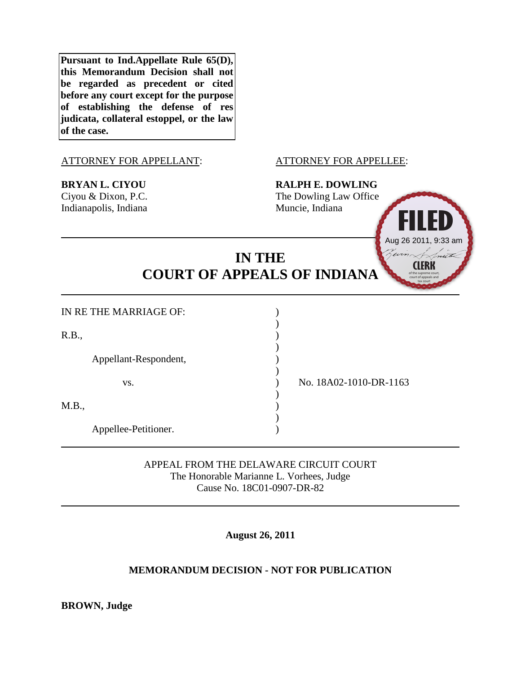**Pursuant to Ind.Appellate Rule 65(D), this Memorandum Decision shall not be regarded as precedent or cited before any court except for the purpose of establishing the defense of res judicata, collateral estoppel, or the law of the case.**

### ATTORNEY FOR APPELLANT: ATTORNEY FOR APPELLEE:

**BRYAN L. CIYOU RALPH E. DOWLING** Ciyou & Dixon, P.C. The Dowling Law Office Indianapolis, Indiana Muncie, Indiana



# **IN THE COURT OF APPEALS OF INDIANA**

)

)

)

)

)

| IN RE THE MARRIAGE OF: |  |
|------------------------|--|
|                        |  |

 $R.B.,$  )

Appellant-Respondent, )

 $M.B.,$  )

Appellee-Petitioner. )

vs. ) No. 18A02-1010-DR-1163

APPEAL FROM THE DELAWARE CIRCUIT COURT The Honorable Marianne L. Vorhees, Judge Cause No. 18C01-0907-DR-82

**August 26, 2011**

## **MEMORANDUM DECISION - NOT FOR PUBLICATION**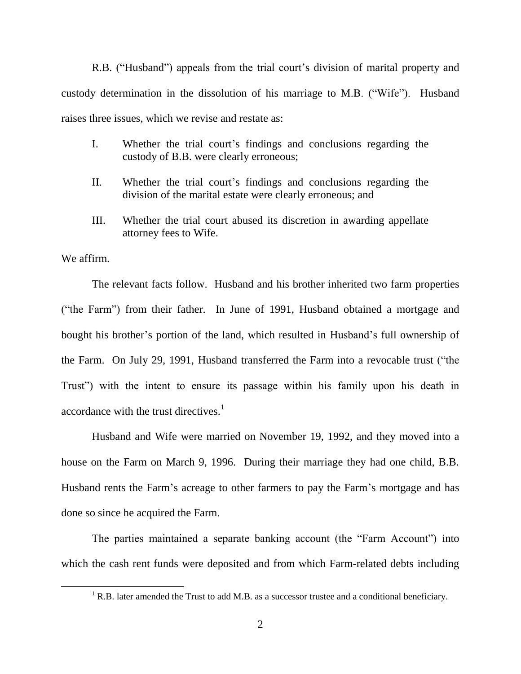R.B. ("Husband") appeals from the trial court's division of marital property and custody determination in the dissolution of his marriage to M.B. ("Wife"). Husband raises three issues, which we revise and restate as:

- I. Whether the trial court's findings and conclusions regarding the custody of B.B. were clearly erroneous;
- II. Whether the trial court's findings and conclusions regarding the division of the marital estate were clearly erroneous; and
- III. Whether the trial court abused its discretion in awarding appellate attorney fees to Wife.

We affirm.

 $\overline{\phantom{a}}$ 

The relevant facts follow. Husband and his brother inherited two farm properties ("the Farm") from their father. In June of 1991, Husband obtained a mortgage and bought his brother's portion of the land, which resulted in Husband's full ownership of the Farm. On July 29, 1991, Husband transferred the Farm into a revocable trust ("the Trust") with the intent to ensure its passage within his family upon his death in accordance with the trust directives.<sup>1</sup>

Husband and Wife were married on November 19, 1992, and they moved into a house on the Farm on March 9, 1996. During their marriage they had one child, B.B. Husband rents the Farm's acreage to other farmers to pay the Farm's mortgage and has done so since he acquired the Farm.

The parties maintained a separate banking account (the "Farm Account") into which the cash rent funds were deposited and from which Farm-related debts including

<sup>&</sup>lt;sup>1</sup> R.B. later amended the Trust to add M.B. as a successor trustee and a conditional beneficiary.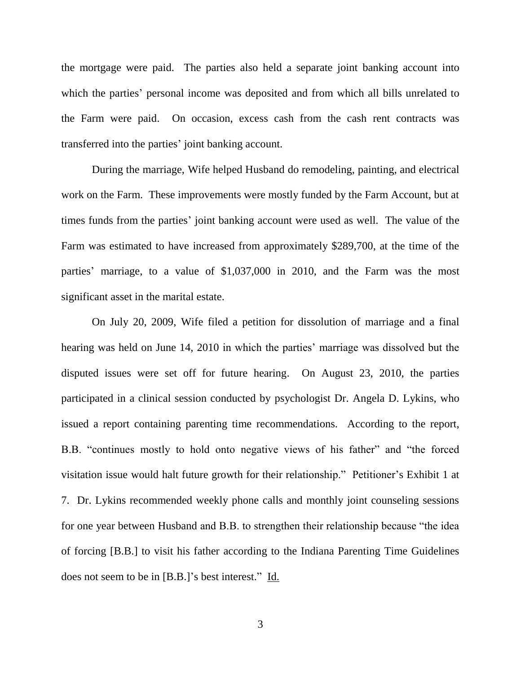the mortgage were paid. The parties also held a separate joint banking account into which the parties' personal income was deposited and from which all bills unrelated to the Farm were paid.On occasion, excess cash from the cash rent contracts was transferred into the parties' joint banking account.

During the marriage, Wife helped Husband do remodeling, painting, and electrical work on the Farm. These improvements were mostly funded by the Farm Account, but at times funds from the parties' joint banking account were used as well. The value of the Farm was estimated to have increased from approximately \$289,700, at the time of the parties' marriage, to a value of \$1,037,000 in 2010, and the Farm was the most significant asset in the marital estate.

On July 20, 2009, Wife filed a petition for dissolution of marriage and a final hearing was held on June 14, 2010 in which the parties' marriage was dissolved but the disputed issues were set off for future hearing. On August 23, 2010, the parties participated in a clinical session conducted by psychologist Dr. Angela D. Lykins, who issued a report containing parenting time recommendations.According to the report, B.B. "continues mostly to hold onto negative views of his father" and "the forced visitation issue would halt future growth for their relationship." Petitioner's Exhibit 1 at 7. Dr. Lykins recommended weekly phone calls and monthly joint counseling sessions for one year between Husband and B.B. to strengthen their relationship because "the idea of forcing [B.B.] to visit his father according to the Indiana Parenting Time Guidelines does not seem to be in [B.B.]'s best interest." Id.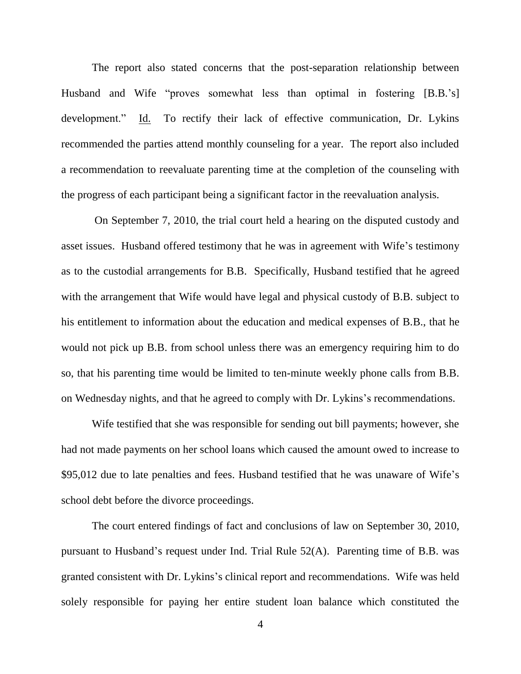The report also stated concerns that the post-separation relationship between Husband and Wife "proves somewhat less than optimal in fostering [B.B.'s] development." Id. To rectify their lack of effective communication, Dr. Lykins recommended the parties attend monthly counseling for a year. The report also included a recommendation to reevaluate parenting time at the completion of the counseling with the progress of each participant being a significant factor in the reevaluation analysis.

On September 7, 2010, the trial court held a hearing on the disputed custody and asset issues. Husband offered testimony that he was in agreement with Wife's testimony as to the custodial arrangements for B.B. Specifically, Husband testified that he agreed with the arrangement that Wife would have legal and physical custody of B.B. subject to his entitlement to information about the education and medical expenses of B.B., that he would not pick up B.B. from school unless there was an emergency requiring him to do so, that his parenting time would be limited to ten-minute weekly phone calls from B.B. on Wednesday nights, and that he agreed to comply with Dr. Lykins's recommendations.

Wife testified that she was responsible for sending out bill payments; however, she had not made payments on her school loans which caused the amount owed to increase to \$95,012 due to late penalties and fees. Husband testified that he was unaware of Wife's school debt before the divorce proceedings.

The court entered findings of fact and conclusions of law on September 30, 2010, pursuant to Husband's request under Ind. Trial Rule 52(A). Parenting time of B.B. was granted consistent with Dr. Lykins's clinical report and recommendations. Wife was held solely responsible for paying her entire student loan balance which constituted the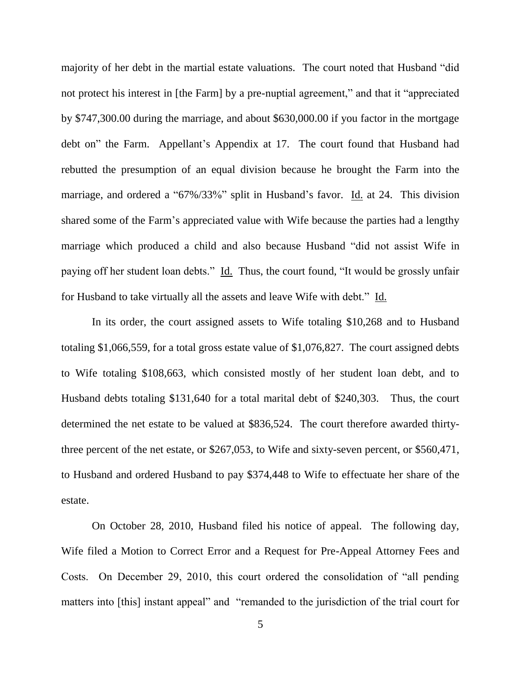majority of her debt in the martial estate valuations.The court noted that Husband "did not protect his interest in [the Farm] by a pre-nuptial agreement," and that it "appreciated by \$747,300.00 during the marriage, and about \$630,000.00 if you factor in the mortgage debt on" the Farm.Appellant's Appendix at 17. The court found that Husband had rebutted the presumption of an equal division because he brought the Farm into the marriage, and ordered a "67%/33%" split in Husband's favor. Id. at 24.This division shared some of the Farm's appreciated value with Wife because the parties had a lengthy marriage which produced a child and also because Husband "did not assist Wife in paying off her student loan debts." Id. Thus, the court found, "It would be grossly unfair for Husband to take virtually all the assets and leave Wife with debt." Id.

In its order, the court assigned assets to Wife totaling \$10,268 and to Husband totaling \$1,066,559, for a total gross estate value of \$1,076,827. The court assigned debts to Wife totaling \$108,663, which consisted mostly of her student loan debt, and to Husband debts totaling \$131,640 for a total marital debt of \$240,303. Thus, the court determined the net estate to be valued at \$836,524. The court therefore awarded thirtythree percent of the net estate, or \$267,053, to Wife and sixty-seven percent, or \$560,471, to Husband and ordered Husband to pay \$374,448 to Wife to effectuate her share of the estate.

On October 28, 2010, Husband filed his notice of appeal. The following day, Wife filed a Motion to Correct Error and a Request for Pre-Appeal Attorney Fees and Costs. On December 29, 2010, this court ordered the consolidation of "all pending matters into [this] instant appeal" and "remanded to the jurisdiction of the trial court for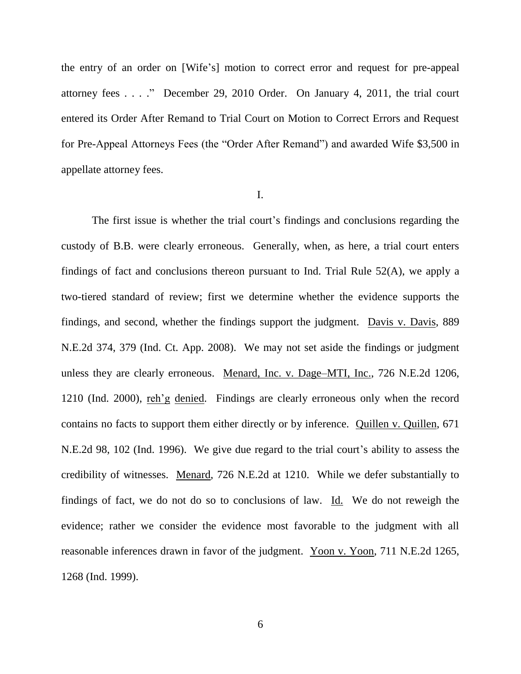the entry of an order on [Wife's] motion to correct error and request for pre-appeal attorney fees . . . ." December 29, 2010 Order. On January 4, 2011, the trial court entered its Order After Remand to Trial Court on Motion to Correct Errors and Request for Pre-Appeal Attorneys Fees (the "Order After Remand") and awarded Wife \$3,500 in appellate attorney fees.

#### I.

The first issue is whether the trial court's findings and conclusions regarding the custody of B.B. were clearly erroneous. Generally, when, as here, a trial court enters findings of fact and conclusions thereon pursuant to Ind. Trial Rule 52(A), we apply a two-tiered standard of review; first we determine whether the evidence supports the findings, and second, whether the findings support the judgment. Davis v. Davis, 889 N.E.2d 374, 379 (Ind. Ct. App. 2008). We may not set aside the findings or judgment unless they are clearly erroneous. Menard, Inc. v. Dage–MTI, Inc., 726 N.E.2d 1206, 1210 (Ind. 2000), reh'g denied. Findings are clearly erroneous only when the record contains no facts to support them either directly or by inference. Quillen v. Quillen, 671 N.E.2d 98, 102 (Ind. 1996). We give due regard to the trial court's ability to assess the credibility of witnesses. Menard, 726 N.E.2d at 1210. While we defer substantially to findings of fact, we do not do so to conclusions of law. Id.We do not reweigh the evidence; rather we consider the evidence most favorable to the judgment with all reasonable inferences drawn in favor of the judgment. Yoon v. Yoon, 711 N.E.2d 1265, 1268 (Ind. 1999).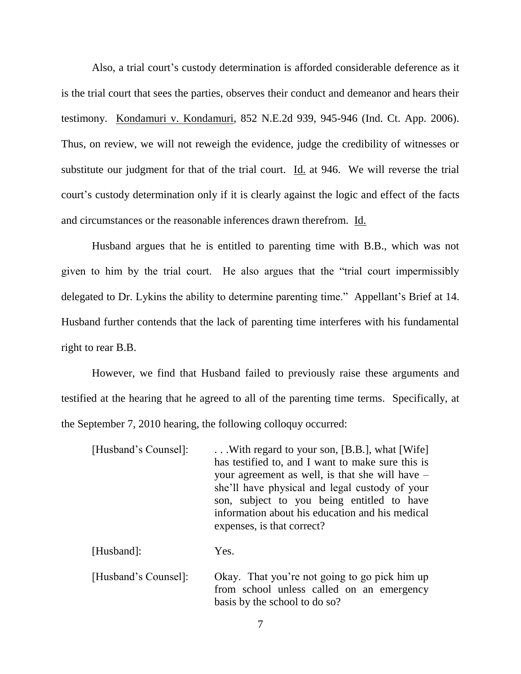Also, a trial court's custody determination is afforded considerable deference as it is the trial court that sees the parties, observes their conduct and demeanor and hears their testimony. Kondamuri v. Kondamuri, 852 N.E.2d 939, 945-946 (Ind. Ct. App. 2006). Thus, on review, we will not reweigh the evidence, judge the credibility of witnesses or substitute our judgment for that of the trial court. Id. at 946. We will reverse the trial court's custody determination only if it is clearly against the logic and effect of the facts and circumstances or the reasonable inferences drawn therefrom. Id.

Husband argues that he is entitled to parenting time with B.B., which was not given to him by the trial court. He also argues that the "trial court impermissibly delegated to Dr. Lykins the ability to determine parenting time." Appellant's Brief at 14. Husband further contends that the lack of parenting time interferes with his fundamental right to rear B.B.

However, we find that Husband failed to previously raise these arguments and testified at the hearing that he agreed to all of the parenting time terms. Specifically, at the September 7, 2010 hearing, the following colloquy occurred:

| [Husband's Counsel]: | With regard to your son, [B.B.], what [Wife]      |
|----------------------|---------------------------------------------------|
|                      | has testified to, and I want to make sure this is |
|                      | your agreement as well, is that she will have –   |
|                      | she'll have physical and legal custody of your    |
|                      | son, subject to you being entitled to have        |
|                      | information about his education and his medical   |
|                      | expenses, is that correct?                        |
|                      |                                                   |

[Husband]: Yes.

[Husband's Counsel]: Okay. That you're not going to go pick him up from school unless called on an emergency basis by the school to do so?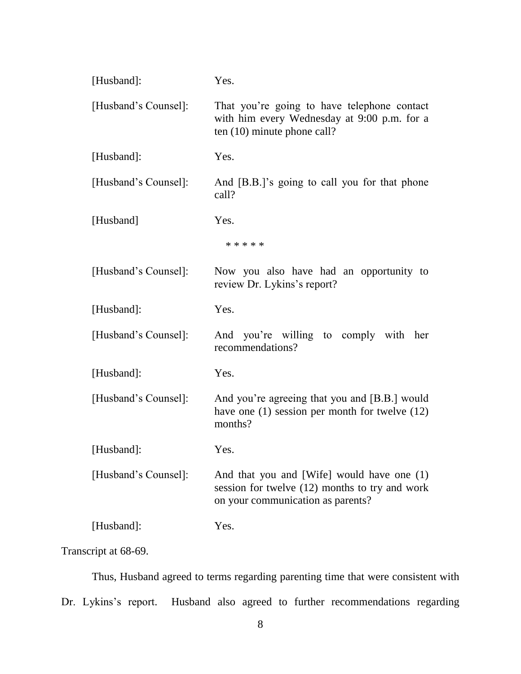| [Husband]:           | Yes.                                                                                                                              |
|----------------------|-----------------------------------------------------------------------------------------------------------------------------------|
| [Husband's Counsel]: | That you're going to have telephone contact<br>with him every Wednesday at 9:00 p.m. for a<br>ten $(10)$ minute phone call?       |
| [Husband]:           | Yes.                                                                                                                              |
| [Husband's Counsel]: | And [B.B.]'s going to call you for that phone<br>call?                                                                            |
| [Husband]            | Yes.                                                                                                                              |
|                      | * * * * *                                                                                                                         |
| [Husband's Counsel]: | Now you also have had an opportunity to<br>review Dr. Lykins's report?                                                            |
| [Husband]:           | Yes.                                                                                                                              |
| [Husband's Counsel]: | And you're willing to comply with her<br>recommendations?                                                                         |
| [Husband]:           | Yes.                                                                                                                              |
| [Husband's Counsel]: | And you're agreeing that you and [B.B.] would<br>have one $(1)$ session per month for twelve $(12)$<br>months?                    |
| [Husband]:           | Yes.                                                                                                                              |
| [Husband's Counsel]: | And that you and [Wife] would have one (1)<br>session for twelve (12) months to try and work<br>on your communication as parents? |
| [Husband]:           | Yes.                                                                                                                              |

Transcript at 68-69.

Thus, Husband agreed to terms regarding parenting time that were consistent with Dr. Lykins's report. Husband also agreed to further recommendations regarding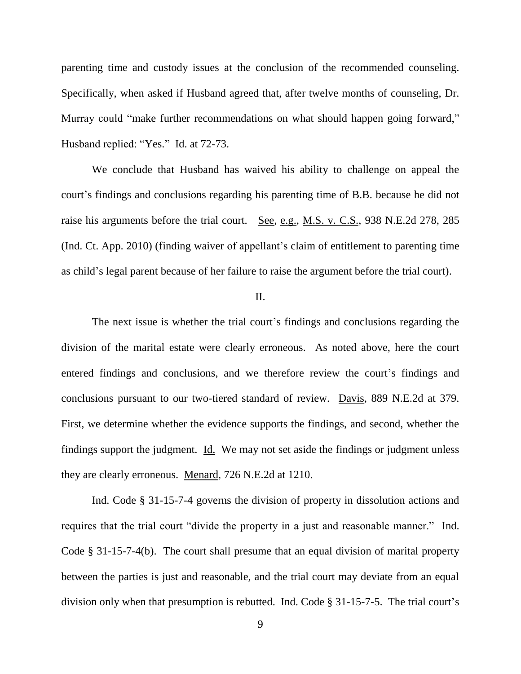parenting time and custody issues at the conclusion of the recommended counseling. Specifically, when asked if Husband agreed that, after twelve months of counseling, Dr. Murray could "make further recommendations on what should happen going forward," Husband replied: "Yes." Id. at 72-73.

We conclude that Husband has waived his ability to challenge on appeal the court's findings and conclusions regarding his parenting time of B.B. because he did not raise his arguments before the trial court. See, e.g., M.S. v. C.S., 938 N.E.2d 278, 285 (Ind. Ct. App. 2010) (finding waiver of appellant's claim of entitlement to parenting time as child's legal parent because of her failure to raise the argument before the trial court).

### II.

The next issue is whether the trial court's findings and conclusions regarding the division of the marital estate were clearly erroneous. As noted above, here the court entered findings and conclusions, and we therefore review the court's findings and conclusions pursuant to our two-tiered standard of review. Davis, 889 N.E.2d at 379. First, we determine whether the evidence supports the findings, and second, whether the findings support the judgment. Id. We may not set aside the findings or judgment unless they are clearly erroneous. Menard, 726 N.E.2d at 1210.

Ind. Code § 31-15-7-4 governs the division of property in dissolution actions and requires that the trial court "divide the property in a just and reasonable manner." Ind. Code § 31-15-7-4(b). The court shall presume that an equal division of marital property between the parties is just and reasonable, and the trial court may deviate from an equal division only when that presumption is rebutted. Ind. Code § 31-15-7-5. The trial court's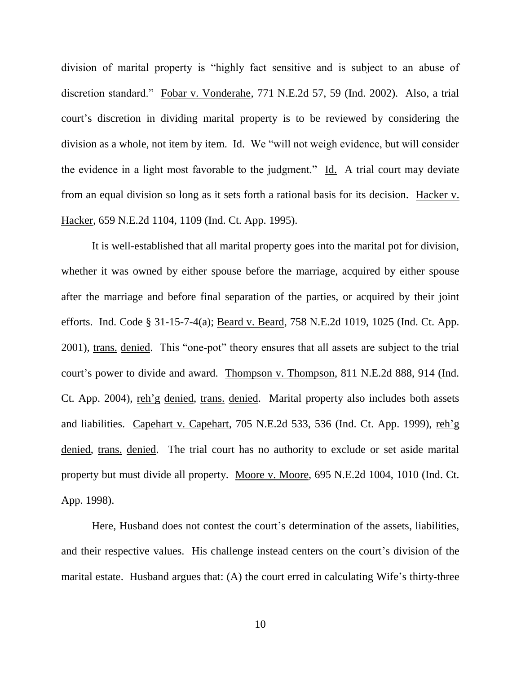division of marital property is "highly fact sensitive and is subject to an abuse of discretion standard." Fobar v. Vonderahe, 771 N.E.2d 57, 59 (Ind. 2002). Also, a trial court's discretion in dividing marital property is to be reviewed by considering the division as a whole, not item by item. Id. We "will not weigh evidence, but will consider the evidence in a light most favorable to the judgment." Id. A trial court may deviate from an equal division so long as it sets forth a rational basis for its decision. Hacker v. Hacker, 659 N.E.2d 1104, 1109 (Ind. Ct. App. 1995).

It is well-established that all marital property goes into the marital pot for division, whether it was owned by either spouse before the marriage, acquired by either spouse after the marriage and before final separation of the parties, or acquired by their joint efforts. Ind. Code § 31-15-7-4(a); Beard v. Beard, 758 N.E.2d 1019, 1025 (Ind. Ct. App. 2001), trans. denied. This "one-pot" theory ensures that all assets are subject to the trial court's power to divide and award. Thompson v. Thompson, 811 N.E.2d 888, 914 (Ind. Ct. App. 2004), reh'g denied, trans. denied. Marital property also includes both assets and liabilities. Capehart v. Capehart, 705 N.E.2d 533, 536 (Ind. Ct. App. 1999), reh'g denied, trans. denied. The trial court has no authority to exclude or set aside marital property but must divide all property. Moore v. Moore, 695 N.E.2d 1004, 1010 (Ind. Ct. App. 1998).

Here, Husband does not contest the court's determination of the assets, liabilities, and their respective values. His challenge instead centers on the court's division of the marital estate. Husband argues that: (A) the court erred in calculating Wife's thirty-three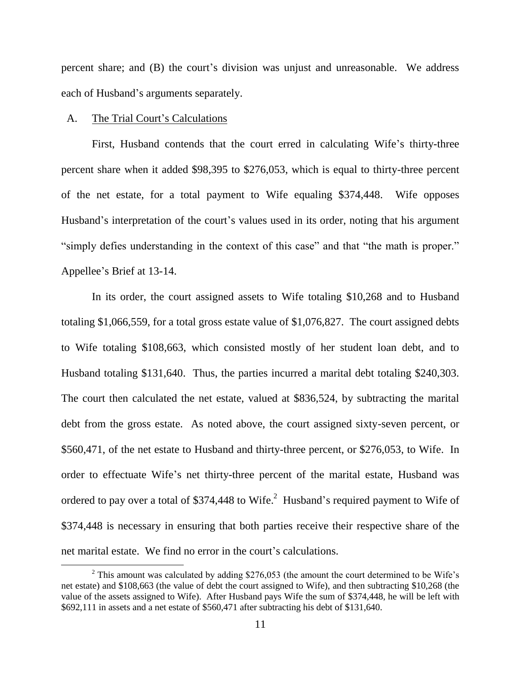percent share; and (B) the court's division was unjust and unreasonable. We address each of Husband's arguments separately.

#### A. The Trial Court's Calculations

l

First, Husband contends that the court erred in calculating Wife's thirty-three percent share when it added \$98,395 to \$276,053, which is equal to thirty-three percent of the net estate, for a total payment to Wife equaling \$374,448. Wife opposes Husband's interpretation of the court's values used in its order, noting that his argument "simply defies understanding in the context of this case" and that "the math is proper." Appellee's Brief at 13-14.

In its order, the court assigned assets to Wife totaling \$10,268 and to Husband totaling \$1,066,559, for a total gross estate value of \$1,076,827. The court assigned debts to Wife totaling \$108,663, which consisted mostly of her student loan debt, and to Husband totaling \$131,640. Thus, the parties incurred a marital debt totaling \$240,303. The court then calculated the net estate, valued at \$836,524, by subtracting the marital debt from the gross estate. As noted above, the court assigned sixty-seven percent, or \$560,471, of the net estate to Husband and thirty-three percent, or \$276,053, to Wife. In order to effectuate Wife's net thirty-three percent of the marital estate, Husband was ordered to pay over a total of \$374,448 to Wife. $^2$  Husband's required payment to Wife of \$374,448 is necessary in ensuring that both parties receive their respective share of the net marital estate. We find no error in the court's calculations.

<sup>&</sup>lt;sup>2</sup> This amount was calculated by adding \$276,053 (the amount the court determined to be Wife's net estate) and \$108,663 (the value of debt the court assigned to Wife), and then subtracting \$10,268 (the value of the assets assigned to Wife). After Husband pays Wife the sum of \$374,448, he will be left with \$692,111 in assets and a net estate of \$560,471 after subtracting his debt of \$131,640.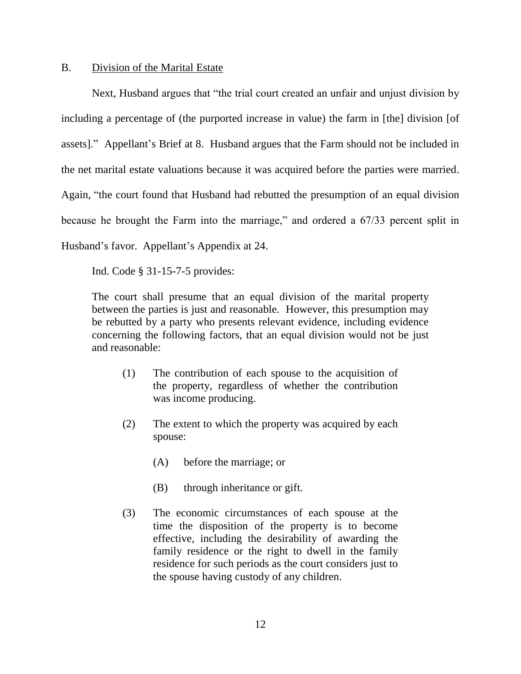#### B. Division of the Marital Estate

Next, Husband argues that "the trial court created an unfair and unjust division by including a percentage of (the purported increase in value) the farm in [the] division [of assets]." Appellant's Brief at 8. Husband argues that the Farm should not be included in the net marital estate valuations because it was acquired before the parties were married. Again, "the court found that Husband had rebutted the presumption of an equal division because he brought the Farm into the marriage," and ordered a 67/33 percent split in Husband's favor. Appellant's Appendix at 24.

Ind. Code § 31-15-7-5 provides:

The court shall presume that an equal division of the marital property between the parties is just and reasonable. However, this presumption may be rebutted by a party who presents relevant evidence, including evidence concerning the following factors, that an equal division would not be just and reasonable:

- (1) The contribution of each spouse to the acquisition of the property, regardless of whether the contribution was income producing.
- (2) The extent to which the property was acquired by each spouse:
	- (A) before the marriage; or
	- (B) through inheritance or gift.
- (3) The economic circumstances of each spouse at the time the disposition of the property is to become effective, including the desirability of awarding the family residence or the right to dwell in the family residence for such periods as the court considers just to the spouse having custody of any children.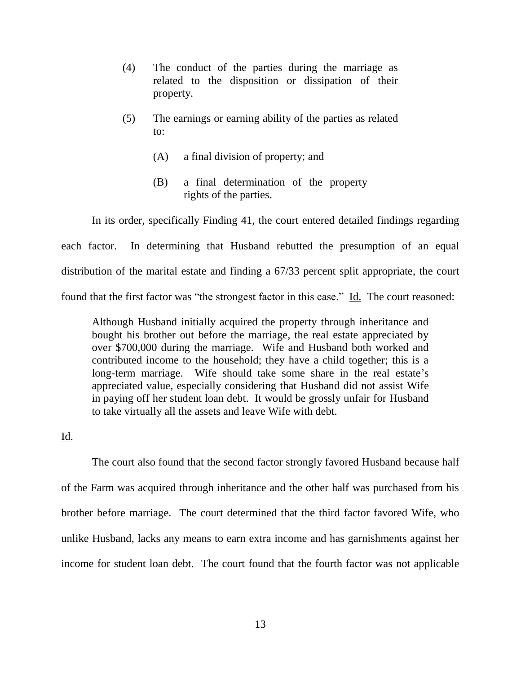- (4) The conduct of the parties during the marriage as related to the disposition or dissipation of their property.
- (5) The earnings or earning ability of the parties as related to:
	- (A) a final division of property; and
	- (B) a final determination of the property rights of the parties.

In its order, specifically Finding 41, the court entered detailed findings regarding each factor. In determining that Husband rebutted the presumption of an equal distribution of the marital estate and finding a 67/33 percent split appropriate, the court found that the first factor was "the strongest factor in this case." Id. The court reasoned:

Although Husband initially acquired the property through inheritance and bought his brother out before the marriage, the real estate appreciated by over \$700,000 during the marriage. Wife and Husband both worked and contributed income to the household; they have a child together; this is a long-term marriage. Wife should take some share in the real estate's appreciated value, especially considering that Husband did not assist Wife in paying off her student loan debt. It would be grossly unfair for Husband to take virtually all the assets and leave Wife with debt.

Id.

The court also found that the second factor strongly favored Husband because half of the Farm was acquired through inheritance and the other half was purchased from his brother before marriage. The court determined that the third factor favored Wife, who unlike Husband, lacks any means to earn extra income and has garnishments against her income for student loan debt. The court found that the fourth factor was not applicable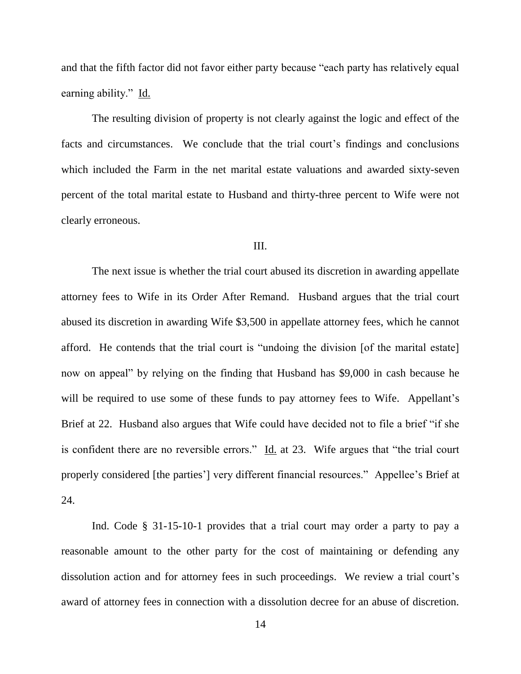and that the fifth factor did not favor either party because "each party has relatively equal earning ability."Id.

The resulting division of property is not clearly against the logic and effect of the facts and circumstances. We conclude that the trial court's findings and conclusions which included the Farm in the net marital estate valuations and awarded sixty-seven percent of the total marital estate to Husband and thirty-three percent to Wife were not clearly erroneous.

#### III.

The next issue is whether the trial court abused its discretion in awarding appellate attorney fees to Wife in its Order After Remand. Husband argues that the trial court abused its discretion in awarding Wife \$3,500 in appellate attorney fees, which he cannot afford. He contends that the trial court is "undoing the division [of the marital estate] now on appeal" by relying on the finding that Husband has \$9,000 in cash because he will be required to use some of these funds to pay attorney fees to Wife. Appellant's Brief at 22. Husband also argues that Wife could have decided not to file a brief "if she is confident there are no reversible errors."  $\underline{Id}$  at 23. Wife argues that "the trial court properly considered [the parties'] very different financial resources." Appellee's Brief at 24.

Ind. Code § 31-15-10-1 provides that a trial court may order a party to pay a reasonable amount to the other party for the cost of maintaining or defending any dissolution action and for attorney fees in such proceedings. We review a trial court's award of attorney fees in connection with a dissolution decree for an abuse of discretion.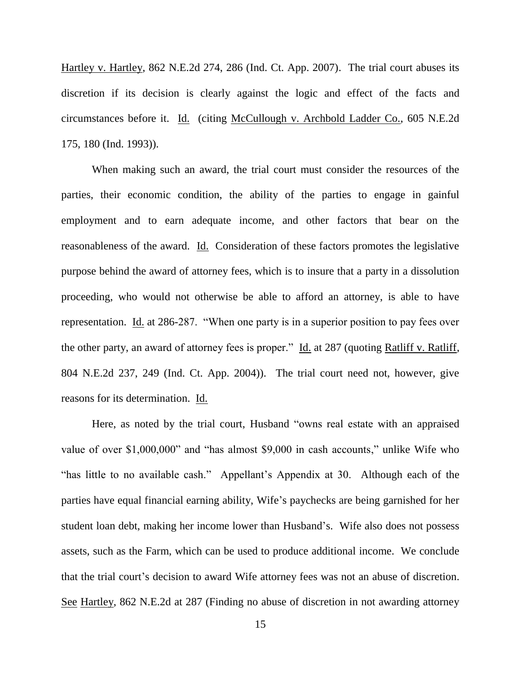Hartley v. Hartley, 862 N.E.2d 274, 286 (Ind. Ct. App. 2007). The trial court abuses its discretion if its decision is clearly against the logic and effect of the facts and circumstances before it. Id. (citing McCullough v. Archbold Ladder Co., 605 N.E.2d 175, 180 (Ind. 1993)).

When making such an award, the trial court must consider the resources of the parties, their economic condition, the ability of the parties to engage in gainful employment and to earn adequate income, and other factors that bear on the reasonableness of the award. Id. Consideration of these factors promotes the legislative purpose behind the award of attorney fees, which is to insure that a party in a dissolution proceeding, who would not otherwise be able to afford an attorney, is able to have representation. Id. at 286-287. "When one party is in a superior position to pay fees over the other party, an award of attorney fees is proper." Id. at 287 (quoting Ratliff v. Ratliff, 804 N.E.2d 237, 249 (Ind. Ct. App. 2004)). The trial court need not, however, give reasons for its determination. Id.

Here, as noted by the trial court, Husband "owns real estate with an appraised value of over \$1,000,000" and "has almost \$9,000 in cash accounts," unlike Wife who "has little to no available cash." Appellant's Appendix at 30. Although each of the parties have equal financial earning ability, Wife's paychecks are being garnished for her student loan debt, making her income lower than Husband's. Wife also does not possess assets, such as the Farm, which can be used to produce additional income. We conclude that the trial court's decision to award Wife attorney fees was not an abuse of discretion. See Hartley, 862 N.E.2d at 287 (Finding no abuse of discretion in not awarding attorney